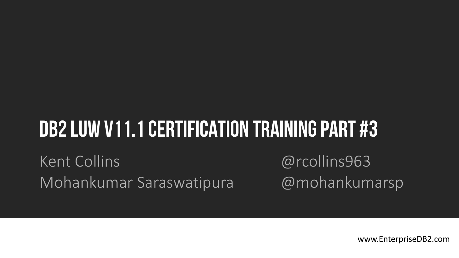# DB2 LUW V11.1 CERTIFICATION TRAINING PART #3

Kent Collins @rcollins963 Mohankumar Saraswatipura @mohankumarsp

www.EnterpriseDB2.com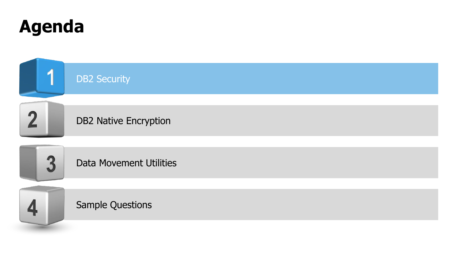

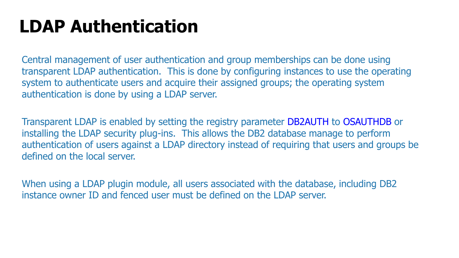### **LDAP Authentication**

Central management of user authentication and group memberships can be done using transparent LDAP authentication. This is done by configuring instances to use the operating system to authenticate users and acquire their assigned groups; the operating system authentication is done by using a LDAP server.

Transparent LDAP is enabled by setting the registry parameter DB2AUTH to OSAUTHDB or installing the LDAP security plug-ins. This allows the DB2 database manage to perform authentication of users against a LDAP directory instead of requiring that users and groups be defined on the local server.

When using a LDAP plugin module, all users associated with the database, including DB2 instance owner ID and fenced user must be defined on the LDAP server.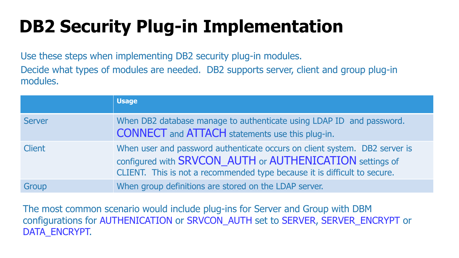# **DB2 Security Plug-in Implementation**

Use these steps when implementing DB2 security plug-in modules. Decide what types of modules are needed. DB2 supports server, client and group plug-in modules.

|               | <b>Usage</b>                                                                                                                                                                                                        |
|---------------|---------------------------------------------------------------------------------------------------------------------------------------------------------------------------------------------------------------------|
| <b>Server</b> | When DB2 database manage to authenticate using LDAP ID and password.<br><b>CONNECT</b> and <b>ATTACH</b> statements use this plug-in.                                                                               |
| <b>Client</b> | When user and password authenticate occurs on client system. DB2 server is<br>configured with SRVCON AUTH or AUTHENICATION settings of<br>CLIENT. This is not a recommended type because it is difficult to secure. |
| Group         | When group definitions are stored on the LDAP server.                                                                                                                                                               |

The most common scenario would include plug-ins for Server and Group with DBM configurations for AUTHENICATION or SRVCON\_AUTH set to SERVER, SERVER\_ENCRYPT or DATA\_ENCRYPT.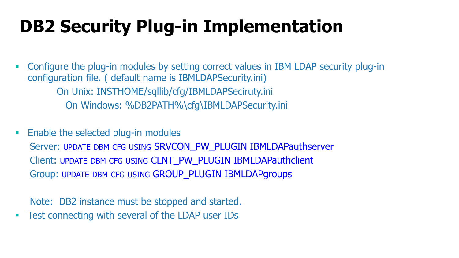# **DB2 Security Plug-in Implementation**

 Configure the plug-in modules by setting correct values in IBM LDAP security plug-in configuration file. ( default name is IBMLDAPSecurity.ini) On Unix: INSTHOME/sqllib/cfg/IBMLDAPSeciruty.ini On Windows: %DB2PATH%\cfg\IBMLDAPSecurity.ini

**Enable the selected plug-in modules** 

Server: UPDATE DBM CFG USING SRVCON\_PW\_PLUGIN IBMLDAPauthserver Client: UPDATE DBM CFG USING CLNT\_PW\_PLUGIN IBMLDAPauthclient Group: UPDATE DBM CFG USING GROUP\_PLUGIN IBMLDAPgroups

Note: DB2 instance must be stopped and started.

**Test connecting with several of the LDAP user IDs**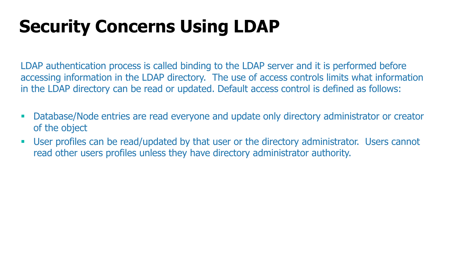# **Security Concerns Using LDAP**

LDAP authentication process is called binding to the LDAP server and it is performed before accessing information in the LDAP directory. The use of access controls limits what information in the LDAP directory can be read or updated. Default access control is defined as follows:

- Database/Node entries are read everyone and update only directory administrator or creator of the object
- User profiles can be read/updated by that user or the directory administrator. Users cannot read other users profiles unless they have directory administrator authority.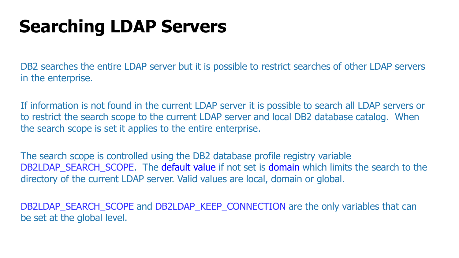### **Searching LDAP Servers**

DB2 searches the entire LDAP server but it is possible to restrict searches of other LDAP servers in the enterprise.

If information is not found in the current LDAP server it is possible to search all LDAP servers or to restrict the search scope to the current LDAP server and local DB2 database catalog. When the search scope is set it applies to the entire enterprise.

The search scope is controlled using the DB2 database profile registry variable DB2LDAP SEARCH SCOPE. The default value if not set is domain which limits the search to the directory of the current LDAP server. Valid values are local, domain or global.

DB2LDAP\_SEARCH\_SCOPE and DB2LDAP\_KEEP\_CONNECTION are the only variables that can be set at the global level.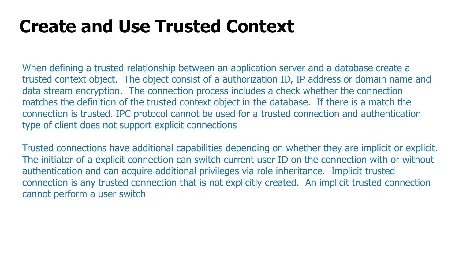### **Create and Use Trusted Context**

When defining a trusted relationship between an application server and a database create a trusted context object. The object consist of a authorization ID, IP address or domain name and data stream encryption. The connection process includes a check whether the connection matches the definition of the trusted context object in the database. If there is a match the connection is trusted. IPC protocol cannot be used for a trusted connection and authentication type of client does not support explicit connections

Trusted connections have additional capabilities depending on whether they are implicit or explicit. The initiator of a explicit connection can switch current user ID on the connection with or without authentication and can acquire additional privileges via role inheritance. Implicit trusted connection is any trusted connection that is not explicitly created. An implicit trusted connection cannot perform a user switch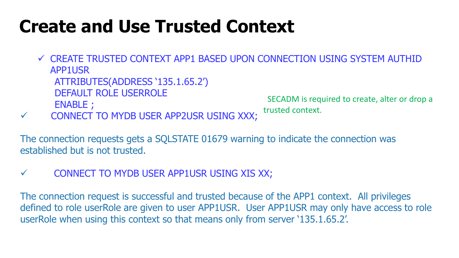### **Create and Use Trusted Context**

- CREATE TRUSTED CONTEXT APP1 BASED UPON CONNECTION USING SYSTEM AUTHID APP1USR ATTRIBUTES(ADDRESS '135.1.65.2') DEFAULT ROLE USERROLE ENABLE ; SECADM is required to create, alter or drop a trusted context.
- CONNECT TO MYDB USER APP2USR USING XXX;

The connection requests gets a SQLSTATE 01679 warning to indicate the connection was established but is not trusted.

 $\checkmark$  CONNECT TO MYDB USER APP1USR USING XIS XX;

The connection request is successful and trusted because of the APP1 context. All privileges defined to role userRole are given to user APP1USR. User APP1USR may only have access to role userRole when using this context so that means only from server '135.1.65.2'.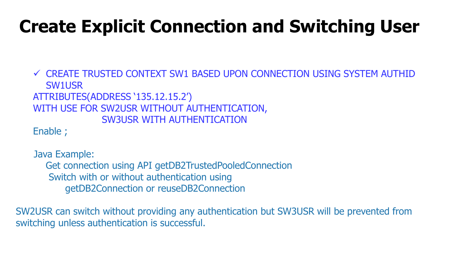## **Create Explicit Connection and Switching User**

 CREATE TRUSTED CONTEXT SW1 BASED UPON CONNECTION USING SYSTEM AUTHID SW1USR ATTRIBUTES(ADDRESS '135.12.15.2') WITH USE FOR SW2USR WITHOUT AUTHENTICATION, SW3USR WITH AUTHENTICATION Enable ;

Java Example: Get connection using API getDB2TrustedPooledConnection Switch with or without authentication using getDB2Connection or reuseDB2Connection

SW2USR can switch without providing any authentication but SW3USR will be prevented from switching unless authentication is successful.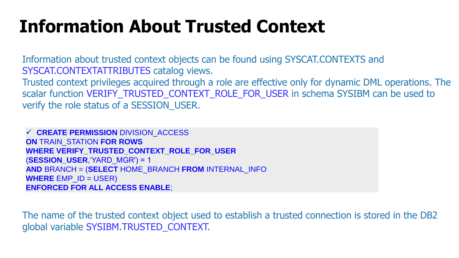### **Information About Trusted Context**

Information about trusted context objects can be found using SYSCAT.CONTEXTS and SYSCAT.CONTEXTATTRIBUTES catalog views.

Trusted context privileges acquired through a role are effective only for dynamic DML operations. The scalar function VERIFY\_TRUSTED\_CONTEXT\_ROLE\_FOR\_USER in schema SYSIBM can be used to verify the role status of a SESSION USER.

 **CREATE PERMISSION** DIVISION\_ACCESS **ON** TRAIN\_STATION **FOR ROWS WHERE VERIFY\_TRUSTED\_CONTEXT\_ROLE\_FOR\_USER** (**SESSION\_USER**,'YARD\_MGR') = 1 **AND** BRANCH = (**SELECT** HOME\_BRANCH **FROM** INTERNAL\_INFO **WHERE** EMP\_ID = USER) **ENFORCED FOR ALL ACCESS ENABLE**;

The name of the trusted context object used to establish a trusted connection is stored in the DB2 global variable SYSIBM.TRUSTED\_CONTEXT.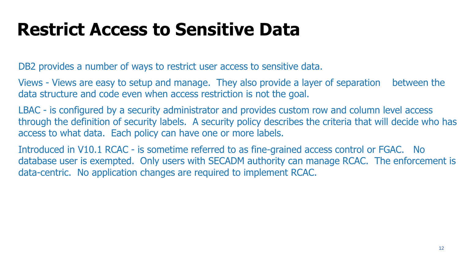### **Restrict Access to Sensitive Data**

DB2 provides a number of ways to restrict user access to sensitive data.

Views - Views are easy to setup and manage. They also provide a layer of separation between the data structure and code even when access restriction is not the goal.

LBAC - is configured by a security administrator and provides custom row and column level access through the definition of security labels. A security policy describes the criteria that will decide who has access to what data. Each policy can have one or more labels.

Introduced in V10.1 RCAC - is sometime referred to as fine-grained access control or FGAC. No database user is exempted. Only users with SECADM authority can manage RCAC. The enforcement is data-centric. No application changes are required to implement RCAC.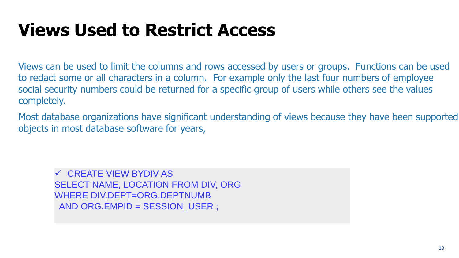### **Views Used to Restrict Access**

Views can be used to limit the columns and rows accessed by users or groups. Functions can be used to redact some or all characters in a column. For example only the last four numbers of employee social security numbers could be returned for a specific group of users while others see the values completely.

Most database organizations have significant understanding of views because they have been supported objects in most database software for years,

 CREATE VIEW BYDIV AS SELECT NAME, LOCATION FROM DIV, ORG WHERE DIV.DEPT=ORG.DEPTNUMB AND ORG.EMPID = SESSION\_USER ;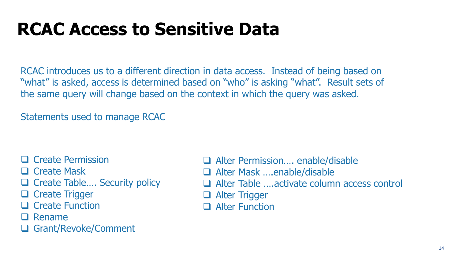### **RCAC Access to Sensitive Data**

RCAC introduces us to a different direction in data access. Instead of being based on "what" is asked, access is determined based on "who" is asking "what". Result sets of the same query will change based on the context in which the query was asked.

Statements used to manage RCAC

- $\Box$  Create Permission
- □ Create Mask
- □ Create Table.... Security policy
- **Q** Create Trigger
- $\Box$  Create Function
- $\Box$  Rename
- □ Grant/Revoke/Comment
- □ Alter Permission.... enable/disable
- Alter Mask ….enable/disable
- Alter Table ….activate column access control
- **Q** Alter Trigger
- **Q** Alter Function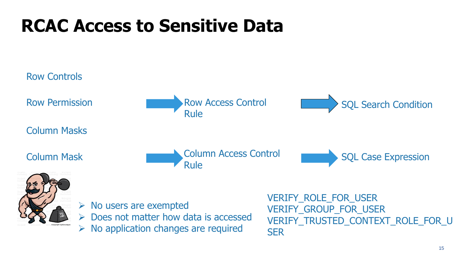# **RCAC Access to Sensitive Data**

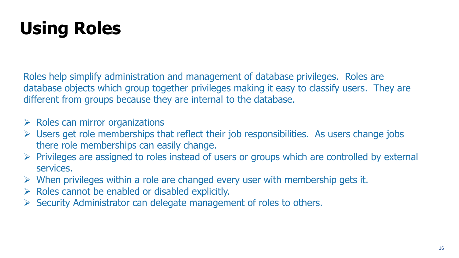# **Using Roles**

Roles help simplify administration and management of database privileges. Roles are database objects which group together privileges making it easy to classify users. They are different from groups because they are internal to the database.

- $\triangleright$  Roles can mirror organizations
- $\triangleright$  Users get role memberships that reflect their job responsibilities. As users change jobs there role memberships can easily change.
- Privileges are assigned to roles instead of users or groups which are controlled by external services.
- $\triangleright$  When privileges within a role are changed every user with membership gets it.
- $\triangleright$  Roles cannot be enabled or disabled explicitly.
- $\triangleright$  Security Administrator can delegate management of roles to others.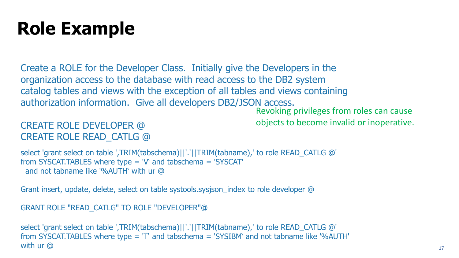### **Role Example**

Create a ROLE for the Developer Class. Initially give the Developers in the organization access to the database with read access to the DB2 system catalog tables and views with the exception of all tables and views containing authorization information. Give all developers DB2/JSON access.

CREATE ROLE DEVELOPER @ CREATE ROLE READ\_CATLG @

Revoking privileges from roles can cause objects to become invalid or inoperative.

select 'grant select on table ',TRIM(tabschema)||'.'||TRIM(tabname),' to role READ\_CATLG @' from SYSCAT.TABLES where type = 'V' and tabschema = 'SYSCAT' and not tabname like '%AUTH' with ur @

Grant insert, update, delete, select on table systools.sysjson\_index to role developer @

GRANT ROLE "READ\_CATLG" TO ROLE "DEVELOPER"@

select 'grant select on table ',TRIM(tabschema)||'.'||TRIM(tabname),' to role READ\_CATLG @' from SYSCAT.TABLES where type = 'T' and tabschema = 'SYSIBM' and not tabname like '%AUTH' with ur @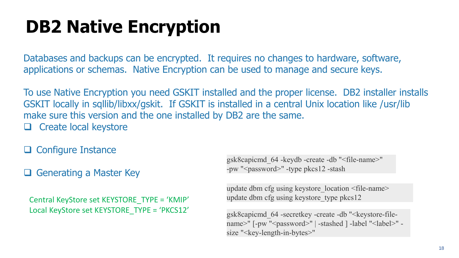# **DB2 Native Encryption**

Databases and backups can be encrypted. It requires no changes to hardware, software, applications or schemas. Native Encryption can be used to manage and secure keys.

To use Native Encryption you need GSKIT installed and the proper license. DB2 installer installs GSKIT locally in sqllib/libxx/gskit. If GSKIT is installed in a central Unix location like /usr/lib make sure this version and the one installed by DB2 are the same.  $\Box$  Create local keystore

 $\Box$  Configure Instance

 $\Box$  Generating a Master Key

Central KeyStore set KEYSTORE\_TYPE = 'KMIP' Local KeyStore set KEYSTORE\_TYPE = 'PKCS12'

gsk8capicmd\_64 -keydb -create -db "<file-name>" -pw "<password>" -type pkcs12 -stash

update dbm cfg using keystore\_location <file-name> update dbm cfg using keystore\_type pkcs12

gsk8capicmd 64 -secretkey -create -db "<keystore-filename>" [-pw "<password>" | -stashed ] -label "<label>" size "<key-length-in-bytes>"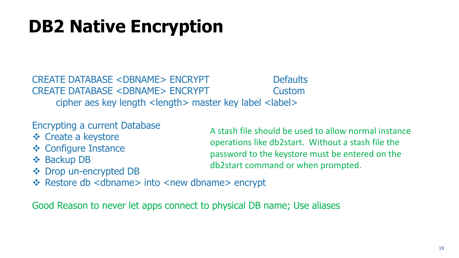# **DB2 Native Encryption**

CREATE DATABASE <DBNAME> ENCRYPT Defaults CREATE DATABASE <DBNAME> ENCRYPT Custom cipher aes key length <length> master key label <label>

Encrypting a current Database

- ❖ Create a keystore
- ❖ Configure Instance
- **❖ Backup DB**
- **❖** Drop un-encrypted DB

A stash file should be used to allow normal instance operations like db2start. Without a stash file the password to the keystore must be entered on the db2start command or when prompted.

❖ Restore db <dbname> into <new dbname> encrypt

Good Reason to never let apps connect to physical DB name; Use aliases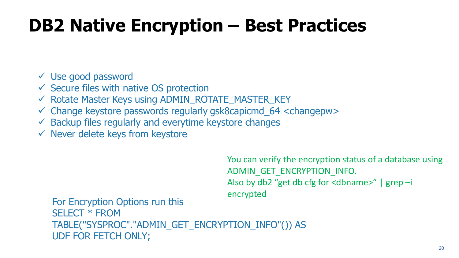# **DB2 Native Encryption – Best Practices**

Use good password

- $\checkmark$  Secure files with native OS protection
- $\checkmark$  Rotate Master Keys using ADMIN\_ROTATE\_MASTER\_KEY
- $\checkmark$  Change keystore passwords regularly gsk8capicmd 64 <changepw>
- $\checkmark$  Backup files regularly and everytime keystore changes
- $\checkmark$  Never delete keys from keystore

You can verify the encryption status of a database using ADMIN\_GET\_ENCRYPTION\_INFO. Also by db2 "get db cfg for <dbname>" | grep –i encrypted

For Encryption Options run this SELECT \* FROM TABLE("SYSPROC"."ADMIN\_GET\_ENCRYPTION\_INFO"()) AS UDF FOR FETCH ONLY;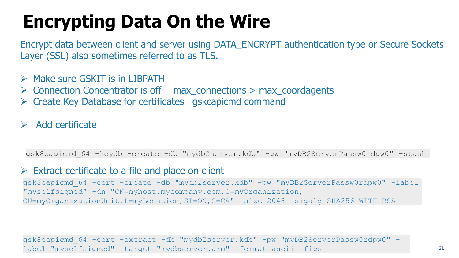# **Encrypting Data On the Wire**

Encrypt data between client and server using DATA\_ENCRYPT authentication type or Secure Sockets Layer (SSL) also sometimes referred to as TLS.

- $\triangleright$  Make sure GSKIT is in LIBPATH
- $\triangleright$  Connection Concentrator is off max\_connections > max\_coordagents
- $\triangleright$  Create Key Database for certificates gskcapicmd command

#### Add certificate

gsk8capicmd\_64 -keydb -create -db "mydb2server.kdb" -pw "myDB2ServerPassw0rdpw0" -stash

#### $\triangleright$  Extract certificate to a file and place on client

gsk8capicmd\_64 -cert -create -db "mydb2server.kdb" -pw "myDB2ServerPassw0rdpw0" -label "myselfsigned" -dn "CN=myhost.mycompany.com,O=myOrganization, OU=myOrganizationUnit,L=myLocation,ST=ON,C=CA" -size 2048 -sigalg SHA256\_WITH\_RSA

gsk8capicmd\_64 -cert -extract -db "mydb2server.kdb" -pw "myDB2ServerPassw0rdpw0" label "myselfsigned" -target "mydbserver.arm" -format ascii -fips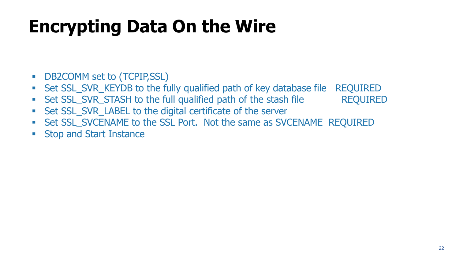# **Encrypting Data On the Wire**

- **DB2COMM set to (TCPIP,SSL)**
- Set SSL\_SVR\_KEYDB to the fully qualified path of key database file REQUIRED
- Set SSL\_SVR\_STASH to the full qualified path of the stash file REQUIRED
- Set SSL\_SVR\_LABEL to the digital certificate of the server
- **Set SSL\_SVCENAME to the SSL Port. Not the same as SVCENAME REQUIRED**
- **Stop and Start Instance**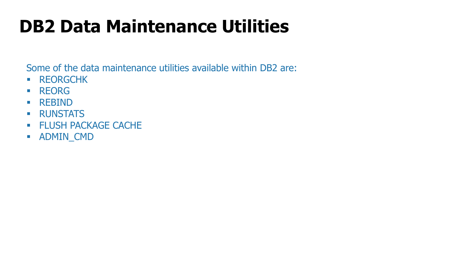# **DB2 Data Maintenance Utilities**

Some of the data maintenance utilities available within DB2 are:

- **REORGCHK**
- **REORG**
- **REBIND**
- **RUNSTATS**
- **FLUSH PACKAGE CACHE**
- **ADMIN\_CMD**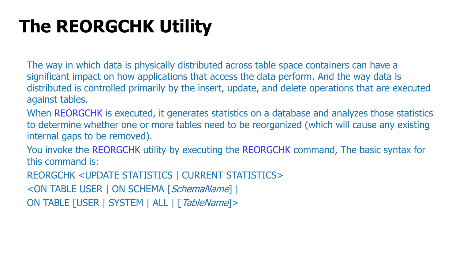# **The REORGCHK Utility**

The way in which data is physically distributed across table space containers can have a significant impact on how applications that access the data perform. And the way data is distributed is controlled primarily by the insert, update, and delete operations that are executed against tables.

When REORGCHK is executed, it generates statistics on a database and analyzes those statistics to determine whether one or more tables need to be reorganized (which will cause any existing internal gaps to be removed).

You invoke the REORGCHK utility by executing the REORGCHK command, The basic syntax for this command is:

REORGCHK <UPDATE STATISTICS | CURRENT STATISTICS>

<ON TABLE USER | ON SCHEMA [SchemaName] |

ON TABLE [USER | SYSTEM | ALL | [TableName]>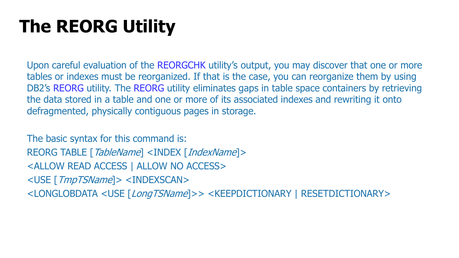# **The REORG Utility**

Upon careful evaluation of the REORGCHK utility's output, you may discover that one or more tables or indexes must be reorganized. If that is the case, you can reorganize them by using DB2's REORG utility. The REORG utility eliminates gaps in table space containers by retrieving the data stored in a table and one or more of its associated indexes and rewriting it onto defragmented, physically contiguous pages in storage.

The basic syntax for this command is: REORG TABLE [TableName] <INDEX [IndexName]> <ALLOW READ ACCESS | ALLOW NO ACCESS> <USE [TmpTSName]> <INDEXSCAN> <LONGLOBDATA <USE [LongTSName]>> <KEEPDICTIONARY | RESETDICTIONARY>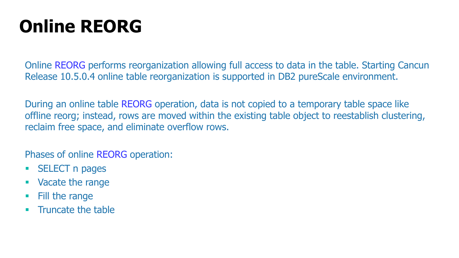# **Online REORG**

Online REORG performs reorganization allowing full access to data in the table. Starting Cancun Release 10.5.0.4 online table reorganization is supported in DB2 pureScale environment.

During an online table REORG operation, data is not copied to a temporary table space like offline reorg; instead, rows are moved within the existing table object to reestablish clustering, reclaim free space, and eliminate overflow rows.

Phases of online REORG operation:

- **SELECT n pages**
- **vacate the range**
- Fill the range
- Truncate the table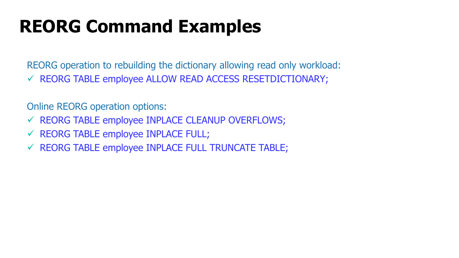### **REORG Command Examples**

REORG operation to rebuilding the dictionary allowing read only workload:  $\checkmark$  REORG TABLE employee ALLOW READ ACCESS RESETDICTIONARY;

Online REORG operation options:

- $\checkmark$  REORG TABLE employee INPLACE CLEANUP OVERFLOWS;
- $\checkmark$  REORG TABLE employee INPLACE FULL;
- $\checkmark$  REORG TABLE employee INPLACE FULL TRUNCATE TABLE;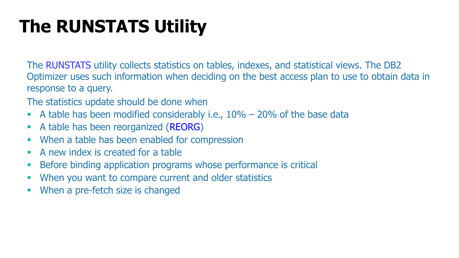# **The RUNSTATS Utility**

The RUNSTATS utility collects statistics on tables, indexes, and statistical views. The DB2 Optimizer uses such information when deciding on the best access plan to use to obtain data in response to a query.

- The statistics update should be done when
- A table has been modified considerably i.e.,  $10\% 20\%$  of the base data
- A table has been reorganized (REORG)
- **When a table has been enabled for compression**
- A new index is created for a table
- **Before binding application programs whose performance is critical**
- When you want to compare current and older statistics
- When a pre-fetch size is changed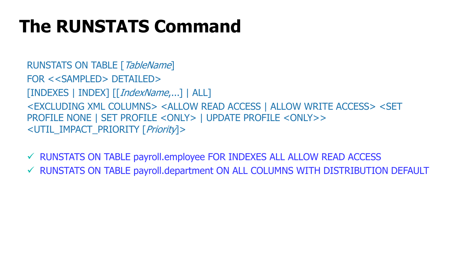### **The RUNSTATS Command**

RUNSTATS ON TABLE [TableName] FOR <<SAMPLED> DETAILED> [INDEXES | INDEX] [[IndexName,...] | ALL] <EXCLUDING XML COLUMNS> <ALLOW READ ACCESS | ALLOW WRITE ACCESS> <SET PROFILE NONE | SET PROFILE <ONLY> | UPDATE PROFILE <ONLY>> <UTIL\_IMPACT\_PRIORITY [Priority]>

- RUNSTATS ON TABLE payroll.employee FOR INDEXES ALL ALLOW READ ACCESS
- RUNSTATS ON TABLE payroll.department ON ALL COLUMNS WITH DISTRIBUTION DEFAULT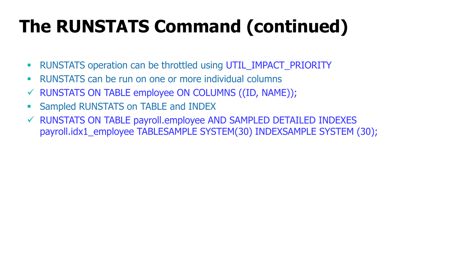# **The RUNSTATS Command (continued)**

- RUNSTATS operation can be throttled using UTIL\_IMPACT\_PRIORITY
- RUNSTATS can be run on one or more individual columns
- $\checkmark$  RUNSTATS ON TABLE employee ON COLUMNS ((ID, NAME));
- **Sampled RUNSTATS on TABLE and INDEX**
- RUNSTATS ON TABLE payroll.employee AND SAMPLED DETAILED INDEXES payroll.idx1\_employee TABLESAMPLE SYSTEM(30) INDEXSAMPLE SYSTEM (30);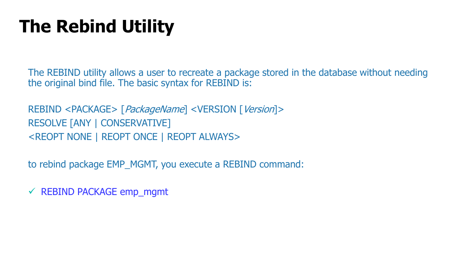# **The Rebind Utility**

The REBIND utility allows a user to recreate a package stored in the database without needing the original bind file. The basic syntax for REBIND is:

REBIND <PACKAGE> [PackageName] <VERSION [Version]> RESOLVE [ANY | CONSERVATIVE] <REOPT NONE | REOPT ONCE | REOPT ALWAYS>

to rebind package EMP\_MGMT, you execute a REBIND command:

 $\checkmark$  REBIND PACKAGE emp\_mgmt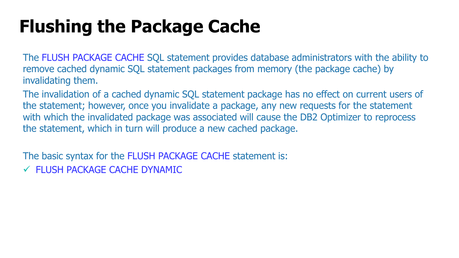# **Flushing the Package Cache**

The FLUSH PACKAGE CACHE SQL statement provides database administrators with the ability to remove cached dynamic SQL statement packages from memory (the package cache) by invalidating them.

The invalidation of a cached dynamic SQL statement package has no effect on current users of the statement; however, once you invalidate a package, any new requests for the statement with which the invalidated package was associated will cause the DB2 Optimizer to reprocess the statement, which in turn will produce a new cached package.

The basic syntax for the FLUSH PACKAGE CACHE statement is:

FLUSH PACKAGE CACHE DYNAMIC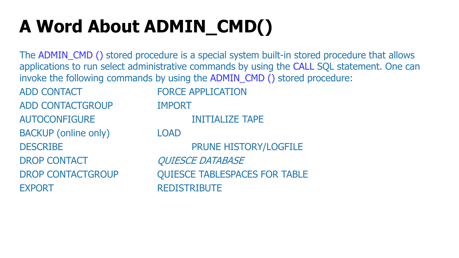# **A Word About ADMIN\_CMD()**

The ADMIN\_CMD () stored procedure is a special system built-in stored procedure that allows applications to run select administrative commands by using the CALL SQL statement. One can invoke the following commands by using the ADMIN\_CMD () stored procedure:

ADD CONTACT FORCE APPLICATION ADD CONTACTGROUP IMPORT AUTOCONFIGURE INITIALIZE TAPE BACKUP (online only) LOAD DROP CONTACT QUIESCE DATABASE EXPORT REDISTRIBUTE

DESCRIBE PRUNE HISTORY/LOGFILE DROP CONTACTGROUP QUIESCE TABLESPACES FOR TABLE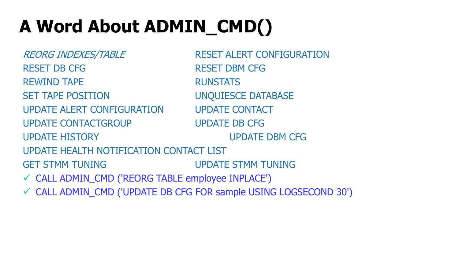# **A Word About ADMIN\_CMD()**

REORG INDEXES/TABLE RESET ALERT CONFIGURATION RESET DB CFG RESET DBM CFG REWIND TAPE RUNSTATS SET TAPE POSITION UNQUIESCE DATABASE UPDATE ALERT CONFIGURATION UPDATE CONTACT UPDATE CONTACTGROUP UPDATE DB CFG UPDATE HISTORY UPDATE DBM CFG UPDATE HEALTH NOTIFICATION CONTACT LIST GET STMM TUNING UPDATE STMM TUNING CALL ADMIN\_CMD ('REORG TABLE employee INPLACE') CALL ADMIN\_CMD ('UPDATE DB CFG FOR sample USING LOGSECOND 30')